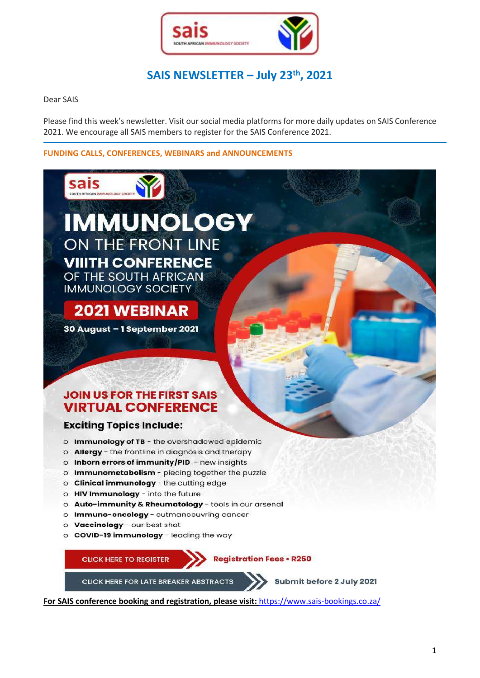

# **SAIS NEWSLETTER – July 23th , 2021**

Dear SAIS

Please find this week's newsletter. Visit our social media platforms for more daily updates on SAIS Conference 2021. We encourage all SAIS members to register for the SAIS Conference 2021.

## **FUNDING CALLS, CONFERENCES, WEBINARS and ANNOUNCEMENTS**



**For SAIS conference booking and registration, please visit:** <https://www.sais-bookings.co.za/>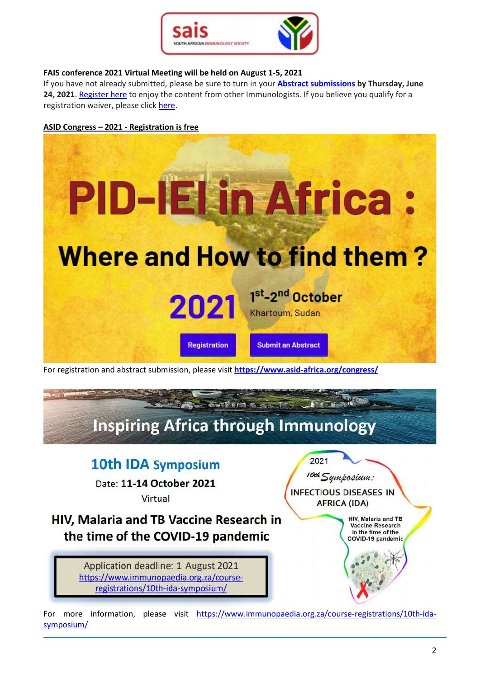

## **FAIS conference 2021 Virtual Meeting will be held on August 1-5, 2021**

If you have not already submitted, please be sure to turn in your **[Abstract submissions](https://sicb.us6.list-manage.com/track/click?u=4ccb66c6fa9f1d1729053966a&id=c108960cf4&e=14aaf59465) by Thursday, June 24, 2021**. [Register here](https://sicb.us6.list-manage.com/track/click?u=4ccb66c6fa9f1d1729053966a&id=e9295f7676&e=61c9bbddfc) to enjoy the content from other Immunologists. If you believe you qualify for a registration waiver, please click [here.](https://sicb.us6.list-manage.com/track/click?u=4ccb66c6fa9f1d1729053966a&id=75fb894fe0&e=61c9bbddfc)

## **ASID Congress – 2021 - Registration is free**



For registration and abstract submission, please visit **<https://www.asid-africa.org/congress/>**



# 10th IDA Symposium

Date: 11-14 October 2021 Virtual

HIV, Malaria and TB Vaccine Research in the time of the COVID-19 pandemic

> Application deadline: 1 August 2021 https://www.immunopaedia.org.za/courseregistrations/10th-ida-symposium/

10th Symposium: **INFECTIOUS DISEASES IN AFRICA (IDA)** HIV, Malaria and TB Vaccine Research

2021

in the time of the COVID-19 pandemic

For more information, please visit [https://www.immunopaedia.org.za/course-registrations/10th-ida](https://www.immunopaedia.org.za/course-registrations/10th-ida-symposium/)[symposium/](https://www.immunopaedia.org.za/course-registrations/10th-ida-symposium/)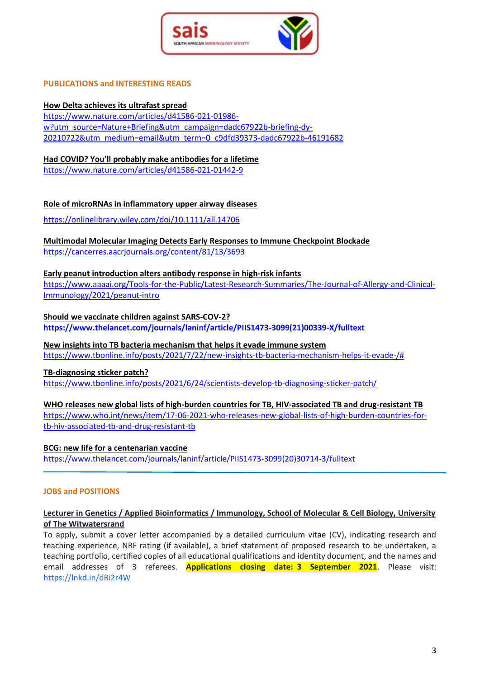

#### **PUBLICATIONS and INTERESTING READS**

#### **[How Delta achieves its ultrafast spread](https://nature.us17.list-manage.com/track/click?u=2c6057c528fdc6f73fa196d9d&id=02868b19d9&e=4cb75bd1cb)**

[https://www.nature.com/articles/d41586-021-01986](https://www.nature.com/articles/d41586-021-01986-w?utm_source=Nature+Briefing&utm_campaign=dadc67922b-briefing-dy-20210722&utm_medium=email&utm_term=0_c9dfd39373-dadc67922b-46191682) [w?utm\\_source=Nature+Briefing&utm\\_campaign=dadc67922b-briefing-dy-](https://www.nature.com/articles/d41586-021-01986-w?utm_source=Nature+Briefing&utm_campaign=dadc67922b-briefing-dy-20210722&utm_medium=email&utm_term=0_c9dfd39373-dadc67922b-46191682)[20210722&utm\\_medium=email&utm\\_term=0\\_c9dfd39373-dadc67922b-46191682](https://www.nature.com/articles/d41586-021-01986-w?utm_source=Nature+Briefing&utm_campaign=dadc67922b-briefing-dy-20210722&utm_medium=email&utm_term=0_c9dfd39373-dadc67922b-46191682)

#### **Had COVID? You'll probably make antibodies for a lifetime**

<https://www.nature.com/articles/d41586-021-01442-9>

#### **Role of microRNAs in inflammatory upper airway diseases**

<https://onlinelibrary.wiley.com/doi/10.1111/all.14706>

# **[Multimodal Molecular Imaging Detects Early Responses to Immune Checkpoint Blockade](https://cancerres.aacrjournals.org/content/81/13/3693)**

<https://cancerres.aacrjournals.org/content/81/13/3693>

#### **Early peanut introduction alters antibody response in high-risk infants**

[https://www.aaaai.org/Tools-for-the-Public/Latest-Research-Summaries/The-Journal-of-Allergy-and-Clinical-](https://www.aaaai.org/Tools-for-the-Public/Latest-Research-Summaries/The-Journal-of-Allergy-and-Clinical-Immunology/2021/peanut-intro)[Immunology/2021/peanut-intro](https://www.aaaai.org/Tools-for-the-Public/Latest-Research-Summaries/The-Journal-of-Allergy-and-Clinical-Immunology/2021/peanut-intro)

#### **Should we vaccinate children against SARS-COV-2?**

**[https://www.thelancet.com/journals/laninf/article/PIIS1473-3099\(21\)00339-X/fulltext](https://www.thelancet.com/journals/laninf/article/PIIS1473-3099(21)00339-X/fulltext)**

#### **[New insights into TB bacteria mechanism that helps it evade immune system](https://www.tbonline.info/posts/2021/7/22/new-insights-tb-bacteria-mechanism-helps-it-evade-/)**

[https://www.tbonline.info/posts/2021/7/22/new-insights-tb-bacteria-mechanism-helps-it-evade-/#](https://www.tbonline.info/posts/2021/7/22/new-insights-tb-bacteria-mechanism-helps-it-evade-/)

#### **[TB-diagnosing sticker patch?](https://www.tbonline.info/posts/2021/6/24/scientists-develop-tb-diagnosing-sticker-patch/)**

<https://www.tbonline.info/posts/2021/6/24/scientists-develop-tb-diagnosing-sticker-patch/>

#### **WHO releases new global lists of high-burden countries for TB, HIV-associated TB and drug-resistant TB**

[https://www.who.int/news/item/17-06-2021-who-releases-new-global-lists-of-high-burden-countries-for](https://www.who.int/news/item/17-06-2021-who-releases-new-global-lists-of-high-burden-countries-for-tb-hiv-associated-tb-and-drug-resistant-tb)[tb-hiv-associated-tb-and-drug-resistant-tb](https://www.who.int/news/item/17-06-2021-who-releases-new-global-lists-of-high-burden-countries-for-tb-hiv-associated-tb-and-drug-resistant-tb)

#### **BCG: new life for a centenarian vaccine**

[https://www.thelancet.com/journals/laninf/article/PIIS1473-3099\(20\)30714-3/fulltext](https://www.thelancet.com/journals/laninf/article/PIIS1473-3099(20)30714-3/fulltext)

#### **JOBS and POSITIONS**

# **Lecturer in Genetics / Applied Bioinformatics / Immunology, School of Molecular & Cell Biology, University of The Witwatersrand**

To apply, submit a cover letter accompanied by a detailed curriculum vitae (CV), indicating research and teaching experience, NRF rating (if available), a brief statement of proposed research to be undertaken, a teaching portfolio, certified copies of all educational qualifications and identity document, and the names and email addresses of 3 referees. **Applications closing date: 3 September 2021**. Please visit: <https://lnkd.in/dRi2r4W>